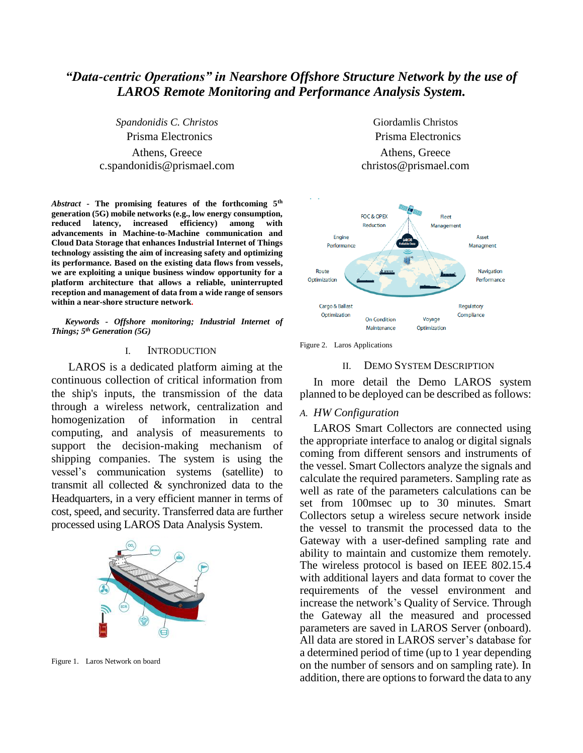# *"Data-centric Operations" in Nearshore Offshore Structure Network by the use of LAROS Remote Monitoring and Performance Analysis System.*

*Spandonidis C. Christos* Prisma Electronics Athens, Greece c.spandonidis@prismael.com

*Abstract* **- The promising features of the forthcoming 5th generation (5G) mobile networks (e.g., low energy consumption, reduced latency, increased efficiency) among with advancements in Machine-to-Machine communication and Cloud Data Storage that enhances Industrial Internet of Things technology assisting the aim of increasing safety and optimizing its performance. Based on the existing data flows from vessels, we are exploiting a unique business window opportunity for a platform architecture that allows a reliable, uninterrupted reception and management of data from a wide range of sensors within a near-shore structure network.**

*Keywords - Offshore monitoring; Industrial Internet of Things; 5 th Generation (5G)*

### I. INTRODUCTION

LAROS is a dedicated platform aiming at the continuous collection of critical information from the ship's inputs, the transmission of the data through a wireless network, centralization and homogenization of information in central computing, and analysis of measurements to support the decision-making mechanism of shipping companies. The system is using the vessel's communication systems (satellite) to transmit all collected & synchronized data to the Headquarters, in a very efficient manner in terms of cost, speed, and security. Transferred data are further processed using LAROS Data Analysis System.



Figure 1. Laros Network on board

Giordamlis Christos Prisma Electronics Athens, Greece christos@prismael.com



Figure 2. Laros Applications

# II. DEMO SYSTEM DESCRIPTION

In more detail the Demo LAROS system planned to be deployed can be described as follows:

# *A. HW Configuration*

LAROS Smart Collectors are connected using the appropriate interface to analog or digital signals coming from different sensors and instruments of the vessel. Smart Collectors analyze the signals and calculate the required parameters. Sampling rate as well as rate of the parameters calculations can be set from 100msec up to 30 minutes. Smart Collectors setup a wireless secure network inside the vessel to transmit the processed data to the Gateway with a user-defined sampling rate and ability to maintain and customize them remotely. The wireless protocol is based on IEEE 802.15.4 with additional layers and data format to cover the requirements of the vessel environment and increase the network's Quality of Service. Through the Gateway all the measured and processed parameters are saved in LAROS Server (onboard). All data are stored in LAROS server's database for a determined period of time (up to 1 year depending on the number of sensors and on sampling rate). In addition, there are options to forward the data to any